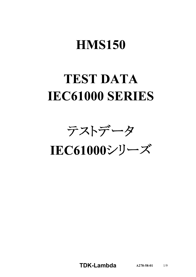# **HMS150**

# **TEST DATA IEC61000 SERIES**

テストデータ

IEC61000シリーズ

**TDK-Lambda**  $A278-58-01$  1/9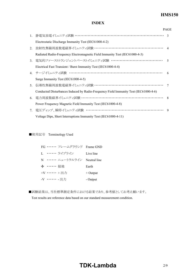## **HMS150**

### **INDEX**

|                |                                                                                      | <b>PAGE</b>    |
|----------------|--------------------------------------------------------------------------------------|----------------|
|                | 1. 静電気放電イミュニティ試験 ……………………………………………………………                                             | $\mathcal{R}$  |
|                | Electrostatic Discharge Immunity Test (IEC61000-4-2)                                 |                |
| 2.             | 放射性無線周波数電磁界イミュニティ試験 ………………………………………………… 4                                            |                |
|                | Radiated Radio-Frequency Electromagnetic Field Immunity Test (IEC61000-4-3)          |                |
| 3 <sub>1</sub> | 電気的ファーストトランジェントバーストイミュニティ試験 …………………………………                                            | $\overline{5}$ |
|                | Electrical Fast Transient / Burst Immunity Test (IEC61000-4-4)                       |                |
|                | 4. サージイミュニティ試験 ……………………………………………………………                                               | 6              |
|                | Surge Immunity Test (IEC61000-4-5)                                                   |                |
| 5.             | 伝導性無線周波数電磁界イミュニティ試験 ………………………………………………                                               | 7              |
|                | Conducted Disturbances Induced by Radio-Frequency Field Immunity Test (IEC61000-4-6) |                |
|                | 6. 電力周波数磁界イミュニティ試験 …………………………………………………………                                            | 8              |
|                | Power Frequency Magnetic Field Immunity Test (IEC61000-4-8)                          |                |
|                | 7. 電圧ディップ、瞬停イミュニティ試験 ……………………………………………………                                            | 9              |
|                | Voltage Dips, Short Interruptions Immunity Test (IEC61000-4-11)                      |                |

■使用記号 Terminology Used

| FG …… フレームグラウンド Frame GND   |            |
|-----------------------------|------------|
| L ・・・・・・・ ライブライン            | Live line  |
| N …… ニュートラルライン Neutral line |            |
| → …… 接地                     | Earth      |
| +V …… +出力                   | $+$ Output |
| -V …… - 出力                  | - Output   |

■試験結果は、当社標準測定条件における結果であり、参考値としてお考え願います。

Test results are reference data based on our standard measurement condition.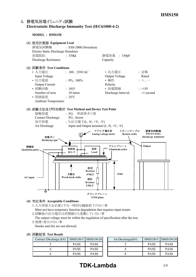### **1. Electrostatic Discharge Immunity Test (IEC6100042)**

**MODEL : HMS150**



#### **(4) Acceptable Conditions**

1.入力再投入を必要とする一時的な機能低下のない事 Must not have temporary function degradation that requires input restart.

2.試験後の出力電圧は初期値から変動していない事

The output voltage must be within the regulation of specification after the test.

3.発煙・発火のない事

Smoke and fire are not allowed.

|  |  | (5) 試験結果 Test Result |
|--|--|----------------------|
|--|--|----------------------|

| Contact Discharge (kV) |             | HMS150-5   HMS150-24 | Air Discharge $(kV)$ |             | HMS150-5 HMS150-24 |
|------------------------|-------------|----------------------|----------------------|-------------|--------------------|
|                        | <b>PASS</b> | <b>PASS</b>          |                      | <b>PASS</b> | <b>PASS</b>        |
|                        | <b>PASS</b> | <b>PASS</b>          |                      | <b>PASS</b> | <b>PASS</b>        |
|                        | <b>PASS</b> | <b>PASS</b>          |                      | <b>PASS</b> | <b>PASS</b>        |

# **TDK-Lambda** 3/9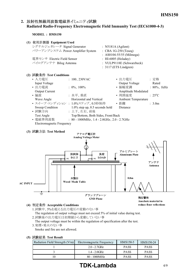## 2. 放射性無線周波数電磁界イミュニティ試験 **Radiated RadioFrequency Electromagnetic Field Immunity Test (IEC6100043)**

**MODEL : HMS150**

| (1) 使用計測器 Equipment Used          |                                 |
|-----------------------------------|---------------------------------|
| シグナルジェネレータ Signal Generator       | : N5181A (Agilent)              |
| パワーアンプシステム Power Amplifier System | $\therefore$ CBA 1G-250 (Teseq) |
|                                   | : AS0104-55/55 (Milmega)        |
| 電界センサ Electric Field Sensor       | : HI-6005 (Holaday)             |
| バイログアンテナ Bilog Antenna            | : VULP9118E (Schwarzbeck)       |
|                                   | $: 3117$ (ETS Lindgren)         |
| (2) 試験条件 Test Conditions          |                                 |

| $\eta$ root $\mathcal{N}$ is the conditions |                                                       |                            |                          |
|---------------------------------------------|-------------------------------------------------------|----------------------------|--------------------------|
| • 入力電圧                                      | : $100, 230$ VAC                                      | • 出力電圧                     | : 定格                     |
| Input Voltage                               |                                                       | Output Voltage             | Rated                    |
| • 出力電流                                      | : $0\%$ , $100\%$                                     | • 振幅変調                     | $: 80\%$ , 1kHz          |
| <b>Output Current</b>                       |                                                       | Amplitude Modulated        |                          |
| ・偏波                                         | :水平、垂直                                                | • 周囲温度                     | $\div$ 25 <sup>o</sup> C |
| Wave Angle                                  | Horizontal and Vertical                               | <b>Ambient Temperature</b> |                          |
| • スイープ·コンディション: 1.0%ステップ、0.5秒保持             |                                                       | • 距離                       | $\therefore$ 3.0m        |
| Sweep Condition                             | $1.0\%$ step up, 0.5 seconds hold                     | Distance                   |                          |
| • 試験方向                                      | : 上下、左右、前後                                            |                            |                          |
| Test Angle                                  | Top/Bottom, Both Sides, Front/Back                    |                            |                          |
| • 電磁界周波数                                    | : $80 - 1000 \text{MHz}$ , 1.4 - 2.0GHz, 2.0 - 2.7GHz |                            |                          |
| Electromagnetic Frequency                   |                                                       |                            |                          |

**(3) Test Method**



#### **(4) Acceptable Conditions**

1.試験中、5%を超える出力電圧の変動のない事 The regulation of output voltage must not exceed 5% of initial value during test. 2.試験後の出力電圧は初期値から変動していない事

The output voltage must be within the regulation of specification after the test. 3.発煙・発火のない事

Smoke and fire are not allowed.

#### **(5) Test Result**

| Radiation Field Strength $(V/m)$ | Electromagnetic Frequency | $HMS150-5$  | HMS150-24   |
|----------------------------------|---------------------------|-------------|-------------|
|                                  | $2.0 - 2.7$ GHz           | <b>PASS</b> | <b>PASS</b> |
|                                  | $1.4 - 2.0$ GHz           | <b>PASS</b> | <b>PASS</b> |
|                                  | $80 - 1000 MHz$           | <b>PASS</b> | <b>PASS</b> |

# **TDK-Lambda** 4/9

**reduce floor reflections**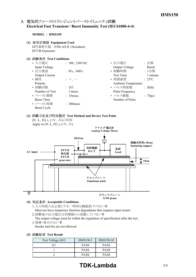## 3. 電気的ファーストトランジェントバーストイミュニティ試験 **Electrical Fast Transient / Burst Immunity Test (IEC6100044)**

#### **MODEL : HMS150**

- **(1) Equipment Used** EFT/B発生器 : FNSAXⅡ (Noiseken) EFT/B Generator
- **(2) Test Conditions**

| • 入力電圧                | : $100, 230 \text{VAC}$ | • 出力電圧                     | :定格                 |
|-----------------------|-------------------------|----------------------------|---------------------|
| Input Voltage         |                         | Output Voltage             | Rated               |
| • 出力電流                | : $0\%$ , $100\%$       | • 試験時間                     | : 1分間               |
| <b>Output Current</b> |                         | <b>Test Time</b>           | 1 minute            |
| • 極性                  | $: +$                   | • 周囲温度                     | $: 25^{\circ}C$     |
| Polarity              |                         | <b>Ambient Temperature</b> |                     |
| • 試験回数                | $: 3 \square$           | • パルス周波数                   | : 5kHz              |
| Number of Test        | 3 times                 | <b>Pulse Frequency</b>     |                     |
| • バースト期間              | : 15msec                | • パルス個数                    | : 75 <sub>pcs</sub> |
| <b>Burst Time</b>     |                         | Number of Pulse            |                     |
| • バースト周期              | $\therefore$ 300 msec   |                            |                     |
| <b>Burst Cycle</b>    |                         |                            |                     |

## **(3) Test Method and Device Test Point**



- 1.入力再投入を必要とする一時的な機能低下のない事 Must not have temporary function degradation that requires input restart.
	- 2.試験後の出力電圧は初期値から変動していない事
	- The output voltage must be within the regulation of specification after the test. 3.発煙・発火のない事

Smoke and fire are not allowed.

**(5) Test Result**

| Test Voltage (kV) | HMS150-5    | HMS150-24   |
|-------------------|-------------|-------------|
| 05                | <b>PASS</b> | <b>PASS</b> |
|                   | <b>PASS</b> | <b>PASS</b> |
|                   | <b>PASS</b> | <b>PASS</b> |

# **TDK-Lambda** 5/9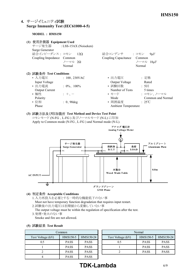## **4. Surge Immunity Test (IEC6100045)**

#### **MODEL : HMS150**

| (1) | 使用計測器 Equipment Used<br>Surge Generator<br>結合インピーダンス: コモン 12Ω<br>Coupling Impedance Common | サージ発生器 : LSS-15AX (Noiseken)<br>ノーマル 2Ω<br>Normal | 結合コンデンサ : コモン<br>Coupling Capacitance | 9 <sub>u</sub> F<br>Common<br>ノーマル 18µF<br>Normal |
|-----|--------------------------------------------------------------------------------------------|---------------------------------------------------|---------------------------------------|---------------------------------------------------|
|     | (2) 試験条件 Test Conditions                                                                   |                                                   |                                       |                                                   |
|     | • 入力電圧<br>Input Voltage                                                                    | $: 100, 230$ VAC                                  | • 出力電圧<br>Output Voltage              | : 定格<br>Rated                                     |
|     | • 出力雷流<br><b>Output Current</b>                                                            | $: 0\%$ , 100%                                    | • 試験回数<br>Number of Tests             | : 5<br>5 times                                    |
|     | • 極性<br>Polarity                                                                           | $\pm$ + $\pm$                                     | • モード<br>Mode                         | : コモン、ノーマル<br>Common and Normal                   |
|     | • 位相<br>Phase                                                                              | $: 0, 90$ deg                                     | • 周囲温度<br><b>Ambient Temperature</b>  | $\div$ 25°C                                       |

**(3) Test Method and Device Test Point** コモンモード (NFG 、LFG ) 及びノーマルモード (NL) に印加 Apply to Common mode (N-FG, L-FG) and Normal mode (N-L).



#### **(4) Acceptable Conditions**

- 1.入力再投入を必要とする一時的な機能低下のない事 Must not have temporary function degradation that requires input restart.
- 2.試験後の出力電圧は初期値から変動していない事
- The output voltage must be within the regulation of specification after the test. 3.発煙・発火のない事
- Smoke and fire are not allowed.

#### **(5) Test Result**

| Common            |             |             |                   |
|-------------------|-------------|-------------|-------------------|
| Test Voltage (kV) | HMS150-5    | HMS150-24   | Test Voltage (kV) |
| 0.5               | <b>PASS</b> | <b>PASS</b> | 0.5               |
|                   | <b>PASS</b> | <b>PASS</b> |                   |
|                   | <b>PASS</b> | <b>PASS</b> |                   |
|                   | <b>PASS</b> | <b>PASS</b> |                   |

| Common      |             | Normal |                   |             |             |
|-------------|-------------|--------|-------------------|-------------|-------------|
| HMS150-5    | HMS150-24   |        | Test Voltage (kV) | HMS150-5    | HMS150-24   |
| <b>PASS</b> | <b>PASS</b> |        | 0.5               | <b>PASS</b> | <b>PASS</b> |
| <b>PASS</b> | <b>PASS</b> |        |                   | <b>PASS</b> | <b>PASS</b> |
| <b>PASS</b> | <b>PASS</b> |        |                   | <b>PASS</b> | <b>PASS</b> |
| _______     |             |        |                   |             |             |

# **TDK-Lambda** 6/9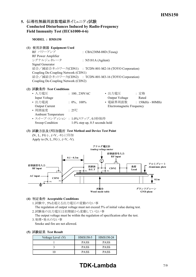## 5. 伝導性無線周波数電磁界イミュニティ試験 **Conducted Disturbances Induced by RadioFrequency** Field Immunity Test (IEC61000-4-6)

**MODEL : HMS150**

#### **(1) Equipment Used**

 $RF \sim \mathcal{PT} \sim \mathcal{TP}$  : CBA230M-08D (Teseq) RF Power Amplifier シグナルジェネレータ : N5181A (Agilent) Signal Generator 結合/減結合ネットワーク(CDN1) : TCDN-801-M2-16 (TOYO Corporation) Coupling De-Coupling Network (CDN1) 結合/減結合ネットワーク(CDN2) : TCDN-801-M3-16 (TOYO Corporation) Coupling De-Coupling Network (CDN2)

#### **(2) Test Conditions**

| • 入力電圧                          | : $100, 230 \text{VAC}$           | • 出力電圧                    | : 定格               |
|---------------------------------|-----------------------------------|---------------------------|--------------------|
| Input Voltage                   |                                   | Output Voltage            | Rated              |
| • 出力電流                          | : $0\%$ , $100\%$                 | • 電磁界周波数                  | $: 150kHz - 80MHz$ |
| <b>Output Current</b>           |                                   | Electromagnetic Frequency |                    |
| • 周囲温度                          | $\cdot$ 25°C                      |                           |                    |
| <b>Ambient Temperature</b>      |                                   |                           |                    |
| • スイープ·コンディション: 1.0%ステップ、0.5秒保持 |                                   |                           |                    |
| Sweep Condition                 | $1.0\%$ step up, 0.5 seconds hold |                           |                    |

#### **(3) Test Method and Device Test Point** (N、L、FG)、(+V、-V)に印加 Apply to  $(N, L, FG)$ ,  $(+V, -V)$ .



#### **(4) Acceptable Conditions**

- 1.試験中、5%を超える出力電圧の変動のない事 The regulation of output voltage must not exceed 5% of initial value during test.
- 2.試験後の出力電圧は初期値から変動していない事
- The output voltage must be within the regulation of specification after the test. 3.発煙・発火のない事
- Smoke and fire are not allowed.

| Voltage Level (V) | HMS150-5    | HMS150-24   |  |  |
|-------------------|-------------|-------------|--|--|
|                   | <b>PASS</b> | <b>PASS</b> |  |  |
|                   | <b>PASS</b> | <b>PASS</b> |  |  |
|                   | <b>PASS</b> | <b>PASS</b> |  |  |

# **TDK-Lambda** 7/9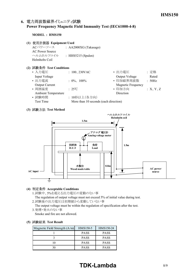## 6. 電力周波数磁界イミュニティ試験 **Power Frequency Magnetic Field Immunity Test (IEC6100048)**

#### **MODEL : HMS150**

- **(1) Equipment Used**
	- ACパワーソース : AA2000XG (Takasago) AC Power Source ヘルムホルツコイル : HHS5215 (Spulen) Helmholts Coil

#### **(2) Test Conditions**

| : $100, 230$ VAC  | • 出力電圧                    | : 定格                                  |
|-------------------|---------------------------|---------------------------------------|
|                   | Output Voltage            | Rated                                 |
| : $0\%$ , $100\%$ | • 印加磁界周波数                 | : 50Hz                                |
|                   | <b>Magnetic Frequency</b> |                                       |
| $\div$ 25°C       | • 印加方向                    | :X, Y, Z                              |
|                   | Direction                 |                                       |
| : 10秒以上(各方向)      |                           |                                       |
|                   |                           |                                       |
|                   |                           | More than 10 seconds (each direction) |

#### **(3) Test Method**



#### **(4) Acceptable Conditions**

1.試験中、5%を超える出力電圧の変動のない事

The regulation of output voltage must not exceed 5% of initial value during test. 2.試験後の出力電圧は初期値から変動していない事

The output voltage must be within the regulation of specification after the test. 3.発煙・発火のない事

Smoke and fire are not allowed.

#### **(5) Test Result**

| Magnetic Field Strength $(A/m)$ | HMS150-5    | HMS150-24   |  |  |
|---------------------------------|-------------|-------------|--|--|
|                                 | <b>PASS</b> | <b>PASS</b> |  |  |
|                                 | <b>PASS</b> | <b>PASS</b> |  |  |
|                                 | <b>PASS</b> | <b>PASS</b> |  |  |
|                                 | <b>PASS</b> | <b>PASS</b> |  |  |

# **TDK-Lambda** 8/9